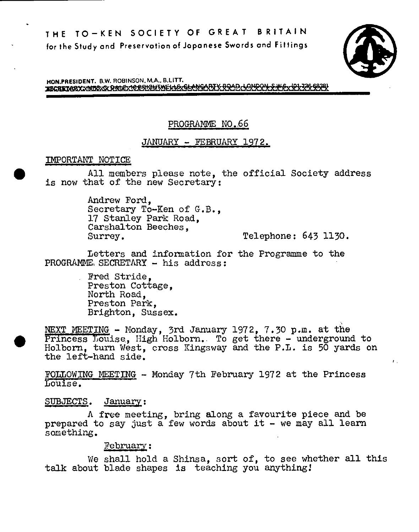

 $\mathcal{F}_{\mathcal{A}}$ 

HON.PRESIDENT. B.W. ROBINSON, M.A., B.LITT. BECRETARY MUSIC PACE 10 BRIGHTMEIAS GEANGARTY ROAD, LONDON SWOLP PL720 S828)

PROGRAMME NO.66

# JANUARY - FEBRUARY 1972.

# IMPORTANT NOTICE

All members please note, the official Society address is now that of the new Secretary:

> Andrew Ford, Secretary To-Ken of G.B., 17 Stanley Park Road, Carshalton Beeches, Surrey. Telephone: 643 1130.

Letters and infomation for the Programme to the PROGRAMME. SECRETARY - his address:

> Fred Stride, Preston Cottage, North Road, Preston Park, Brighton, Sussex.

NEXT MEETING - Monday, 3rd January 1972, 7.30 p.m. at the Princess Louise, High Holborn. To get there - underground to Holborn, turn West, cross Kingsway and the P.L. is 50 yards on the left-hand side.

FOLLOWING I€ETING - Monday 7th February 1972 at the Princess Louise.

# SUBJECTS. January:

 $\bullet$ 

A free meeting, bring along a favourite piece and be prepared to say just a few words about it - we may all learn something.

# February:

We shall hold a Shinsa, sort of, to see whether all this talk about blade shapes is teaching you anything!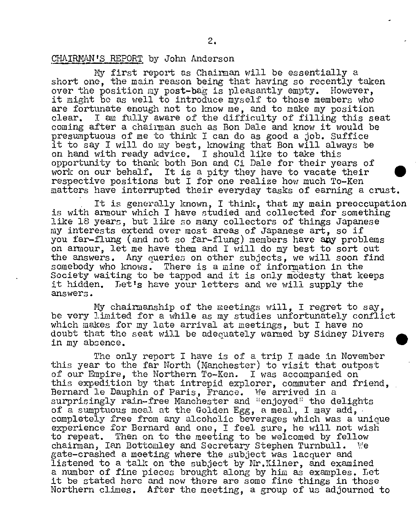## CHAIRMAN'S REPORT by John Anderson

My first report as Chairman will be essentially a short one, the main reason being that having so recently taken over the position my post-bag is pleasantly empty. However, it might be as well to introduce myself to those members who are fortunate enough not to know me, and to make my position clear. I am fully aware of the difficulty of filling this seat coming after a chairman such as Don Dale and know it would be presumptuous of me to think I can do as good a job. Suffice it to say I will do my best, knowing that Don will always be on hand with ready advice. I should like to take this opportunity to thank both Don and Ci Dale for their years of work on our behalf. It is a pity they have to vacate their respective positions but I for one realize how much To-Ken matters have interrupted their everyday tasks of earning a crust.

It is generally known, I think, that my main preoccupation is with armour which I have studied and collected for something like 18 years, but like so many collectors of things Japanese my interests extend over most areas of Japanese art, so if you far-flung (and not so far-flung) members have azy problems on armour. let me have them and I will do my best to sort out the answers. Any queries on other subjects, we will soon find somebody who knows. There is a mine of information in the Society waiting to be tapped and it is only modesty that keeps it hidden. Let's have your letters and we will supply the answers.

My chairmanship of the meetings will, I regret to say, be very limited for a while as my studies unfortunately conflict which makes for my late arrival at meetings, but I have no doubt that the seat will be adequately warned by Sidney Divers in my absence.

The only report I have is of a trip I made in November this year to the far North (Manchester) to visit that outpost of our Empire, the Northern To-Ken. I was accompanied on this expedition by that intrepid explorer, commuter and friend, Bernard le Dauphin of Paris, France. We arrived in a surprisingly rain-free Manchester and "enjoyed" the delights of a sumptuous meal at the Golden Egg, a meal, I may add, completely free from any alcoholic beverages which was a unique experience for Bernard and one, I feel sure, he will not wish to repeat. Then on to the meeting to be welcomed by fellow chairman, Ian Bottomley and Secretary Stephen Turnbull. We gate-crashed a meeting where the subject was lacquer and listened to a talk on the subject by Mr. Kilner, and examined a number of fine pieces brought along by him as examples. Let it be stated here and now there are some fine things in those Northern climes. After the meeting, a group of us adjourned to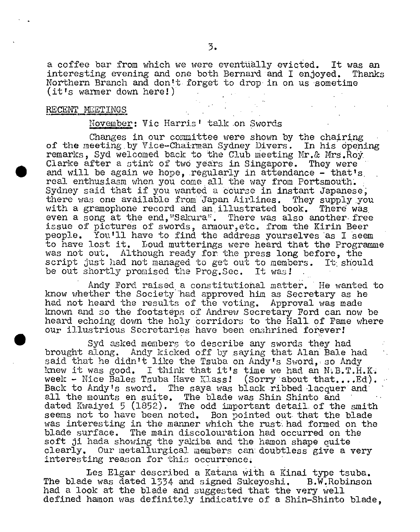a coffee bar from which we were eventually evicted. It was an interesting evening and one both Bernard and I enjoved. Thanks interesting evening and one both Bernard and I enjoyed. Thanks Northern Branch and dont forget to drop in on us sometime (it's warmer down here!)

#### RECENT MEETINGS

## November: Vic Harris' talk on Swords

Changes in our committee were shown by the chairing of the meeting by Vice-Chairman Sydney Divers. In his opening remarks, Syd welcomed back to the Club meeting Mr.& Mrs.Roy remarks, Syd welcomed back to the Club meeting Mr. & Mrs. Roy<br>Clarke after a stint of two years in Singapore. They were<br>and will be again we hope, regularly in attendance - that's<br>real enthusiasm when you come all the way and will be again we hope, regularly in attendance - that's real enthusiasm when you come all the way from Portsmouth. Sydney said that if you wanted a course in instant Japanese. there was one available from Japan Airlines. They supply you with a gramophone record and an illustrated book. There was even a song at the end, "Sakura". There was also another free issue of pictures of swords, amour,etc, from the Kirin Beer people. You'll have to find the address yourselves as I seem to have lost it. Loud mutterings were heard that the Programme was not out. Although ready for the press long before, the script just had not managed to get out to members. It should be out shortly promised the Prog. Sec. It was!

Andy Ford raised a constitutional matter. He wanted to know whether the Society had approved him as Secretary as he had not heard the results of the voting. Approval was made known and so the footsteps of Andrew Secretary Ford can now be heard echoing down the holy öorridors to the Hall. of Fame where our illustrious Secretaries have been enshrined forever!

Syd asked members to describe any swords they had brought along. Andy kicked off by saying that Alan Bale had said that he didn't like the Tsuba on Andy's Sword, so Andy knew it was good. I think that it's time we had an  $N.B.T.H.K.$ week - Nice Bales Tsuba Have Klass! (Sorry about that....Ed). Back to Andy's sword. The saya was black ribbed lacquer and all the mounts en suite. The blade was Shin Shinto and dated Kwaiyei 5 (1852). The odd important detail of the smith seems not to have been noted. Bon pointed out that the blade was interesting in the manner which the rusti had formed on the blade surface. The main discolouration had occurred on the soft ji hada showing the yakiba and the hamon shape quite clearly. Our metallurgical members can: doubtless give a very interesting reason for this occurrence.

Les Elgar described a Katana with a Kinai type tsuba. The blade was dated *1334* and signed Sukeyoshi. B.W.Robinson had a look at the blade and suggested that the very well defined hamon was definitely indicative of a Shin-Shinto blade.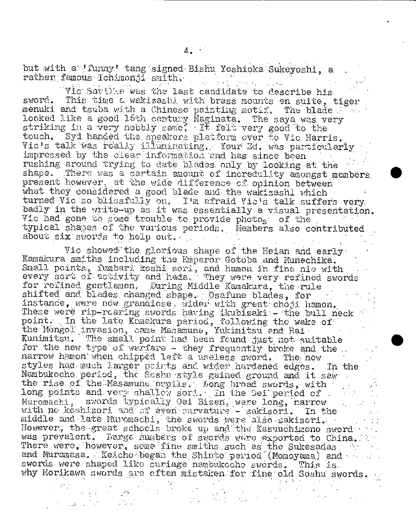but with a funny' tang signed Bishu Yoshioka Sukeyoshi, a rathen famous Ichimonji smith, rather famous loh monji smith,

 $\nabla$ ic Sa $\nabla$ 191e was the last candidate to describe his sword. This time a wakizashi with brass mounts en suite, tiger menuki and tsuba with a Chinese painting motif. The blade  $17\%$ looked *like a* good 16th centw:'y Naginata. The saya was very striking in a very nobbly same. It felt very good to the touch. Syd handed the speakers platform over to Vic Harris. Vie's talk was really illuminating. Your Ed. was particularly impressed by the clear information end has since been rushing around trying to date blades only by looking at the shape. There was a certain amount of incredulity amongst members, present however. at the wide difference of opinion between what they considered a good blade and the wakizashi which turned Vic so blissfully on. I'm afraid Vic's talk suffers very badly in the write-up as it was essentially a visual presentation. Vic had gone to some trouble to provide photo<sub>s</sub> of the typical shapes of the various periods. Members also contributed about six swords to help out.

Vic showed the glorious shape of the Heian and early Kamakura smiths including the Emperor Gotoba and Munechika. Small points. fumbari koshi zori, and hamon in fine nie with every sort of activity and hada. They were very refined swords for refined gentlemen. During Middle Kamakura, the rule shifted and blades changed shape. Osafune blades, for instance, were now grandiose, wider with great choji hamon. These were rip-roaring swords having ikubizaki - the bull neck point. In the late Kumakura period, following the wake of the Mongol invasion, came Masamune, Yukimitsu and Rai Kunimitsu. The small point had been found just not suitable for the new type *of* 'warfare -- they frequently broke and the narrow hamon' when chipped left a useless sword. The new ndriow had when on pped fert a useress sword. The new<br>styles had much larger points and wider hardened edges. In the Nambukocho period, the Soshu style gained ground and it saw the rise of the Masamune pupils. Long broad swords, with long points and very shallow sori. In the Oei period of  $\frac{1}{2}$ Huromachi, swords typically Oei Bizen, were long, harrow with no koshizori and of even curvature - zakisori. In the middle and late Muromachi, the swords vere also zakisori. However, the great schools broke up and the Kazuuchimono sword was prevalent. Darge humbers of swords were exported to China. : There were, however, some fine smiths such as the Sukesadas, and Muramasa. Keicho began the Shinto period (Momoyama) and swords were shaped like suriage nambukocho swords. This is why Horikawa swords are often mistaken for fine old Soshu swords.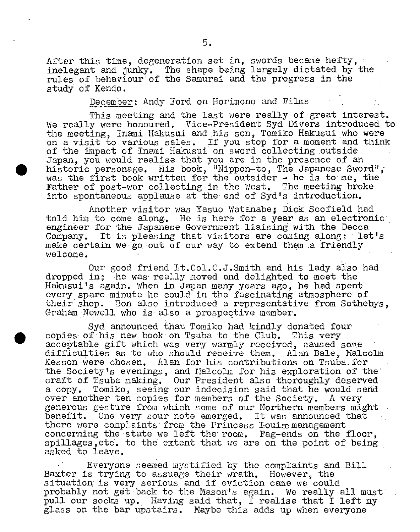After this time, degeneration set in, swords became hefty, inelegant and junky. The shape being largely dictated by the rules of behaviour of the Samurai and the progress in the study of Kendo.

December: Andy Ford on Horimono and Films

This meeting and the last were really of great interest. We really were honoured, Vice-President Syd Divers introduced to the meeting, Inami Hakusui and his son, Tomiko Hakusui who were on a visit to various sales. If you stop for a moment and think of the impact of Inami Hakusui on sword collecting outside Japan, you would realise that you are in the presence of an historic personage. His book, "Nippon-to, The Japanese Sword"; was the first book written for the outsider - he is to me, the Father of post-war collecting in the West. The meeting broke into spontaneous applause at the end of Syd's introduction.

Another visitor was Yasuo Watanabe; Dick Scofield had told him to come along. He is here for a year as an electronic engineer for the Japanese Government liaising with the Decca Company. It is pleasing that visitors are coming along: let's make certain we go, out of our way to extend them a friendly welcome.

Our good friend Lt.Col.C.J,Smith and his lady also had dropped in; he was really moved and delighted to meet the Hakusui 's again. When in Japan many years ago, he had spent every spare minute he could in the fascinating atmosphere of their shop. Bon also introduced a representative from Sothebys, Graham Newell who is also a prospective member.

Syd announced that Tomiko had kindly donated four copies' of'his new book' on Tsuba to the Club. This very acceptable gift which was very warmly received, caused some difficulties as to who should receive them. Alan Bale, Malcolm Kesson were chosen. Alan for his contributions on Tsuba for the Society's evenings, and Malcolm for his exploration of the craft of Tsuba making. Our President also thoroughly deserved a copy. Tomiko, seeing our indecision said that he would send over another ten copies for members of the Society. A very generous gesture from which some of our Northern members might benefit. One very sour note emerged. It was announced that there were complaints from the Princess Louise management concerning the 'state we left the room. Fag-ends on the floor, spillages,etc'. to the extent that we are on the point of being asked to leave.

 $\bullet$ 

Everyone seemed mystified by the complaints and Bill Baxter is trying to assuage their wrath. However, the situation is very serious and if eviction came we could probably not get 'back to the Mason's again. We really all must' pull our socks up. Having said that, I realise that I left my glass on the bar upstairs. Maybe this adds up when everyone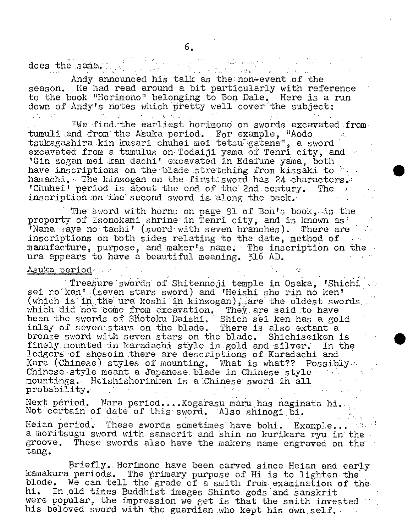does the same. The same  $\frac{1}{2}$ 

Andy announced his talk as the non-event of the season. He had read around a bit particularly with reference to the book "Horimono" belonging to Bon Dale. Here is a run down of Andy's notes which pretty well cover the subject: we find the earliest horimono on swords excavated from tumuli and from the Asuka period. For example, "Aodo tsukagashira kin kusari chuhei mei tetsu gatana", a sword excavated from a tumulus on Todaiji yama of Tenri city, and: 'Gin zogan mei kan dachi' excavated in Edafune yama, both have inscriptions on the blade stretching from kissaki to hanabhi.. The kinzogan on the first: sword has 24 characters : 'Chuhei' period is about the end of the 2nd.century. The inscription on the second sword is along the back.

The sword with horns on page 91 of Bon's book, is the property of Isonokami shrine in Tenri city, and is known as 'Nana saya no tachi' (sword with seven branches). There are inscriptions on both sides relating to the date, method of  $\sim$ manufacture, purpose, and maker's name. The inscription on the  $\blacksquare$ ura appears to have a beautiful meaning. 316 AD.

.

#### Asuka period

Treasure swords of Shitennoji temple in Osaka, 'Shichi sei noken' (seven stars sword) and 'Heishi sho rin no ken' (which is in the ura koshi in kinzogan). are the oldest swords. which did not come from excavation. They are said to have been the swords of Shotoku Daishi. Shich sëi ken has a gold inlay of seven'.stars on the blade. There is also extant a bronze sword with seven stars on the blade. Shichiseiken is finely:mounted: in karadachi style in . gold and silver. In the ledgers of shosoin there are descriptions of Karadachi and Kara (Chinese) styles of mounting. What is what?? Possibly:. Chinese style meant a Japanese blade in Chinese style  $\sim$ mountings; .;. Hcishishorinken is 'a Chinese sword in all probability.

Next period. Nara period .... Kogarasu maru has naginata hi... Not certain of date of this sword. Also shinogi bi.

Heian period. These swords sometimes have bohi. Example... . Here a moritsugu sword with sanscrit and shin no kurikara ryu in the groove. These swords also have the makers name engraved on the tang.

Briefly.; Horimono have been carved since Heian and early kamakura periods. The primary purpose of Hi is to lighten the blade. We can tell the grade of a smith from examination of the hi. In old times Buddhist images Shinto gods and sanskrit In old times Buddhist images Shinto gods and sanskrit were popular, the impression we get is that the smith invested his beloved sword with the guardian who kept his Own, self.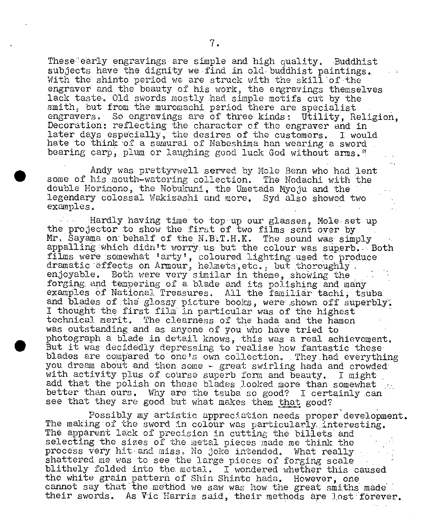These' early engravings are simple and high quality. Buddhist subjects have the dignity we find in old buddhist paintings.. With the shinto period we are struck with the skill of the engraver and the beauty of his work, the engravings themselves lack taste.. Old swords mostly had simple motifs cut by the smith, but from the muromachi period there are specialist engravers. So engravings are of three kinds: Utility, Religion, Decoration: reflecting the character of the engraver and in later days especially, the desires of the customers. I would later days especially, the desires of the customers. hate to think of a samurai of Nabeshina han wearing a sword bearing carp, plum or laughing good luck God without arms."

. Andy was prettyvwell served by Mole Benn who had lent some of his mouth-watering collection. The Nodachi with the double Horimono, the Nobukuni, the Umetada Myoju and the legendary colossal Wakizashi and more. Syd also showed two examples, . .

Hardly having time to top up our glasses, Mole set up the projector to show the first of two films sent over by Mr. Sayama on behalf of the N.B.T.H.K. The sound was simply appalling which didn't worry; us but the colour was superb. Both films were:somewhat 'arty', coloured lighting.used to produce dramatic effects on Armour, helmets, etc., but thoroughly enjoyable. Both were very similar in theme, showing the forging. and tempering of a blade and its polishing and many examples of National Treasures. All the familiar tachi, tsuba and blades of the glossy picture books, were shown off superbly. I thought the first film in particular was of the highest technical merit. The clearness of the hada and the hamon was outstanding and as anyone of you who have tried to photograph a blade in detail knows, this was a real achievement. But it was decidedly depressing to realise how fantastic these blades are compared to one's own collection. They had everything you dream about and then some - great swirling hada and crowded with activity plus of course superb form and beauty. I might add that the polish on these blades looked more than somewhat better than ours. Why are the tsuba so good? I certainly can see that they are good but what makes them that good?

Possibly my artistic appreciation needs proper development. The making of the sword in colour was particularly interesting. The apparent lack of precision in cutting the billets and selecting the sizes of the metal pieces made me think the process very hit and miss. No joke intended. What really shattered me was to see the large pieces of forging scale . . . blithely folded into the. metal. I wondered whether this caused the white grain pattern. of Shin Shinto hada, However, one cannot say that 'the method we saw was how the great smiths made their swords. As Vic Harris said, their methods are lost forever.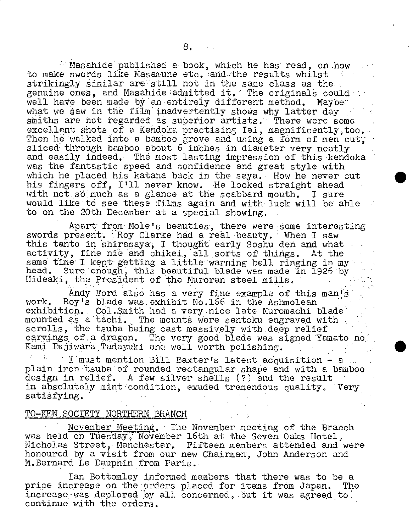Masahide published a book, which he has read, on how to make swords like Masamune etc. and the results whilst strikingly similar are still not in the same class as the genuine ones, and Masahide admitted it. The originals could well have been made by an entirely different method. Maybe: what we saw in the film inadvertently shows why latter day smiths are not regarded as superior artists. There were some excellent shots of a Kendoka practising Iai, magnificently, too... Then he walked into a bamboo grove and using a form of men cut, sliced' through bamboo about 6 inches in diameter very neatly and easily indeed. The most lasting impression of this kendoka was the fantastic speed and confidence and great style with which he placed his katana back in the saya. How he never cut his fingers off, I'll never know. He looked straight ahead with not so much as a glance at the scabbard mouth. I sure would like to see these films again and with luck will be able to on the 20th December at a special showing.

Apart from Mole's beauties, there were some interesting swords present. Roy Clarke had a real beauty. When I saw this tanto in shirasaya, I thought early Soshu den and what activity, fine nië and chikei, all sorts of things. At the same time I kept getting a little warning bell ringing in my head. Sure enough, this beautiful blade was made in 1926 by Hideaki, the President of the Muroran steel mills.

Andy Ford also has a very fine example of this man! work. Roy's blade was exhibit No.166 in the Ashmolean exhibition. Col. Smith had a very nice late Muromachi blade mounted as a tachi. The mounts were sentoku engraved with scrolls, the tsuba being cast massively with deep relief carvings of a dragon. The very good blade was signed Yamato no. Kami Fujiwara Tadayuki and well worth polishing.

.

I'must mention Bill Baxter's latest acquisition - a plain iron tsuba of rounded rectangular shape and with a bamboo design in relief. A few silver shells (?) and the result in absolutely mint condition, exuded tremendous quality. Very satisfying.

#### TO-KEN SOCIETY NORTHERN BRANCH

November Meeting. The November meeting of the Branch was held on Tuesday, November 16th at the Seven Oaks Hotel, Nicholas Street, Manchester. Fifteen members attended and were honoured by a visit from our new Chairman, John Anderson and M.Bernard Ic Dauphin from Paris.

Ian Bottomley ipfomed members that there was to be a price increase on the orders placed for items from Japan. The increase was deplored by all concerned, but it was agreed to. continue with the orders.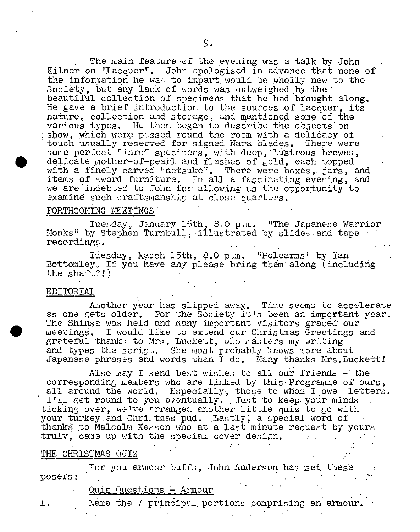The main feature of the evening was a talk by John Kilner on "Lacquer". John apologised in advance that none of the information he was to impart would be wholly new to the Society, but any lack of words was outweighed by the beautiful collection of specimens that he had brought along. He gave a brief introduction to the sources of lacquer, its nature, collection and storage, and mentioned some of the various types. He then began to describe the objects on show, which were passed round the room with a delicacy of touch usually reserved for signed Nara blades. There were some perfect "inro" specimens, with deep, lustrous browns, delicate mother-of-pearl and flashes of gold, each topped with a finely carved "netsuke". There were boxes, jars, and items of sword furniture. In all a fascinating evening, and we are indebted to John for allowing us the opportunity to examine such craftsmanship at close quarters.<br>Permusering reperings

## FORTHCOMING MEETINGS

Tuesday, January 16th, 8.0 p.m. "The Japanese Warrior Monks" by Stephen Turnbull, illustrated by. slides and tape recordings.

Tuesday, March 15th, 8.0 p.m. "Polearms" by Ian Bottomley. If you have any please bring them along (including the shaft?!)

#### EDITORIAl

 $\sim$ 

Another year has slipped away. Time seems to accelerate as one gets older. For the Society it's been an important year. The Shinsa was held and many important visitors graced our • The Shinsa was held and many important visitors graced our<br>meetings. I would like to extend our Christmas Greetings and<br>grateful thanks to Mrs. Luckett, who masters my writing and types the script. She most probably knows more about Japanese phrases and words than I do. Many thanks Mrs.Luckett!

Also may I send best wishes to all our friends - the corresponding members who are linked by this Programme of ours, all around the world. Especially, those to whom I owe letters. Ifll get round to you eventually. Just to keep. your minds' ticking over, we've arranged another little quiz to go with your turkey.and Christmas' pud. Lastly; a special word of thanks to Malcolm Kesson who at a last minute request by yours<br>truly, came up with the special cover design. truly, came up with the special cover design.

## THE CHRISTMAS QUIZ

For you armour buffs, John Anderson has set these posers.:

# Quiz Questions - Armour

1. Name the 7 principal portions comprising an armour.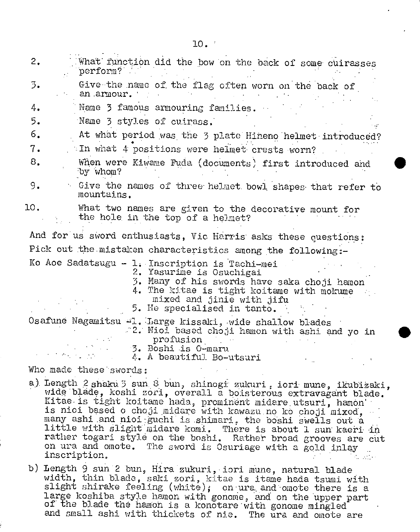10.

| 2.<br>What function did the bow on the back of some cuirasses<br>perform?                                                                                                                                                          |
|------------------------------------------------------------------------------------------------------------------------------------------------------------------------------------------------------------------------------------|
| 3.<br>Give the name of the flag often worn on the back of<br>an armour.                                                                                                                                                            |
| Name 3 famous armouring families.<br>4.                                                                                                                                                                                            |
| 5.<br>Name 3 styles of cuirass.                                                                                                                                                                                                    |
| 6.<br>At what period was the 3 plate Hineno helmet introduced?                                                                                                                                                                     |
| 7.<br>In what 4 positions were helmet crests worn?                                                                                                                                                                                 |
| 8.<br>When were Kiwame Fuda (documents) first introduced and<br>by whom?                                                                                                                                                           |
| 9.<br>Give the names of three helmet bowl shapes that refer to<br>mountains.                                                                                                                                                       |
| 10.<br>What two names are given to the decorative mount for<br>the hole in the top of a helmet?                                                                                                                                    |
| And for us sword enthusiasts, Vic Harris asks these questions:                                                                                                                                                                     |
| Pick out the mistaken characteristics among the following:-                                                                                                                                                                        |
| Ko Aoe Sadatsugu - 1. Inscription is Tachi-mei<br>2. Yasurime is Osuchigai<br>3. Many of his swords have saka choji hamon<br>4. The kitae is tight koitame with mokume<br>mixed and jinie with jifu<br>5. He specialised in tanto. |
| Osafune Nagamitsu 41. Large kissaki, wide shallow blades<br>2. Nioi based choji hamon with ashi and yo in<br>profusion<br>3. Boshi is 0-maru<br>4. A beautiful Bo-utsuri                                                           |
| Who made these swords:                                                                                                                                                                                                             |
| a) Length 2 shaku 3 sun 8 bun, shinogi zukuri, iori mune, ikubizaki,<br>wide blade, koshi zori, overall a boisterous extravagant blade.<br>$Kifap$ is tight inditame hade, proprietive midnes when $\mathbf{a}$ leaves.            |

tae is tight koitame hada, prominent midare utsuri, hamon' is nioi based o choji midare with kawazu no ko choji mixed, many ashi and nioi guchi is shimari, the boshi swells out a little with slight midare komi. There is about 1 sun kaeri in rather togari style on the boshi. Rather broad grooves are cut on ura and omote. The sword is Osuriage with a gold inlay inscription. inscription.

b) Length 9 sun 2 bun, Hira zukuri, iori mune, natural blade width, thin blade, saki zori, kitae is itame hada tsumi with slight shirake feeling (white); on ura and omote there is a large koshiba style hamon with gonome, and on the upper part of the blade the hamon is a konotare with gonome mingled and small ashi with thickets of nie. The ura and omote are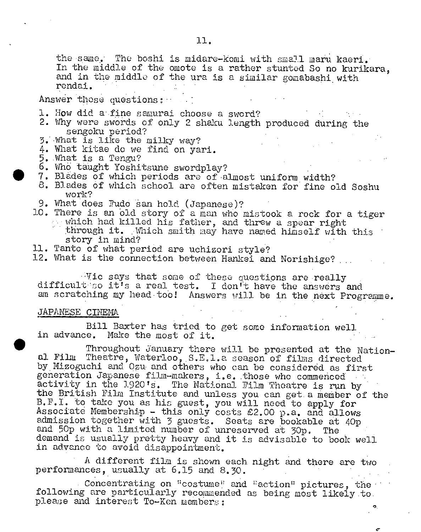the same. The boshi is midare-komi with small maru kaeri. In the middle of the omote is a rather stunted So no kurikara, and in the middle of the ura is a similar gomabashi with rendai.

#### Answer those questions:

- 1. How did a fine samurai choose a sword?
- 2. Why were swords of only 2 shaku length produced during the sengoku period?
- 3. What is like the milky way?
- 4. What kitae do we find on yari.
- 5. What is a Tengu?
- 6. Who taught Yoshitsune swordplay?
- 7. Blades of which periods are of almost uniform width?
- 8. Blades of which school are often mistaken for fine old Soshu work?
- 9. What does Fudo san hold (Japanese)?
- 10. There is an bld story of a man who mistook a rock for a tiger which had killed his father, and threw a spear right through it. Which smith may have named himself with this story in mind?
- 11. Tarito of what period are uchizori style?
- 12. What is the connection between Hankei and Norishige?

 $\forall$ ic says that some of these questions are really difficult so it's a real test. I don't have the answers and am scratching my head too! Answers will be in the next Programme.

#### JAPANESE CINEMA .

Bill Barter has tried to get some information well in advance. Make the most of it.

Throughout January there will be presented at the National Film Theatre, Waterloo, S.E.l.a season of films directed by Mizoguchi and Ozu and others who can be considered as first generation Japanese film-makers, i.e. those who commenced activity in the 1920's. The National Film Theatre is run by the British Film Institute and unless you can get. a member of the B.F.I. to take you as his guest, you will need to apply for Associate Membership - this only costs £2.00 p.a. and allows admission together with 3guests. Seats are bookable at 40p and 50p with a limited number of unreserved at 30p, The demand is usually pretty heavy and it is advisable to book well in advance to avoid disappointment.

A different film is shown each night and there are two performances, usually at 6.15 and 8.30.

Concentrating on "costume" and "action" pictures, the following are particularly recommended as being most likely .to. please and interest To-Ken members:

 $\boldsymbol{\sigma}$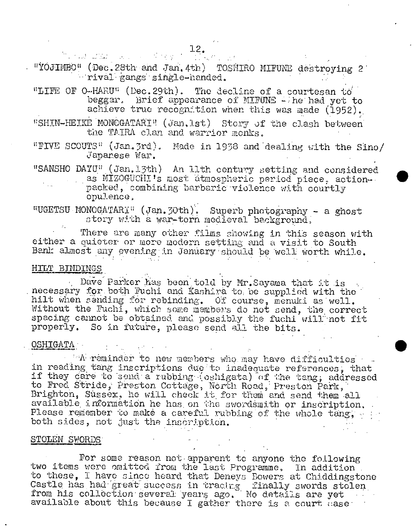12.<br>100 (December 1995) - 1995 - 1996<br>100 (December 1996) "YOJIMBO" (Dec. 28th and Jan. 4th) TOSHIRO MIFUNE destroying 2 rival gangs single-handed.

"LIFE OF 0-HARU" (Dec.29th). The decline of a courtesan to beggar, Brief appearance of MIFUNE - he had yet to achieve true recognition when this was made (1952).

"SHIN-HEIKE MONCGATARI" (Jan,lst) Story of the clash between the TAIRA clan and warrior monks.

FI*1*TE SCOUTS (Jan03rd), Wade in 1938and 'dealing with the S±no/ Japanese War.

"SANSHO DAYU" (Jan.13th) An 11th century setting and considered as MIZOGUCHI's most atmospheric period piece., action

packed, combining barbaric violence with courtly opulence.

"UGETSU MONOGATARI" (Jan. 30th). Superb photography - a ghost story with a war-torn medieval background.

There are many other films showing in this season with either a quieter or more modern setting and a visit to South Bank almost any evening in January should be well worth while.

#### HILT BINDINGS

Dave Parker has been told by Mr. Sayama that it is necessary for both Fuchi and Kashira to be supplied with the hilt when sending for rebinding. Of course, menuki as well. Without the Fuchi, which some members do not send, the correct spacing cannot be obtained and possibly the fuchi will not fit properly. So in future, please send all the bits.

#### OSHIGATA, .. ..

 $i$   $A$  reminder to new members who may have difficulties  $\ldots$ in reading tang inscriptions due to inadequate references. that if they care to send a rubbing (oshigata) of the tang, addressed to Fred Stride, Preston Cottage, North Road, Preston Park, Brighton, Sussex, he will check it for them and send them all available information he has on the swordsmith or inscription. Please remember to make a careful rubbing of the whole tang,  $\cdots$ both sides, not just the insôriptioñ.

# STOLEN SWORDS'

For some reason not apparent to anyone the following two items were omitted from the last Programme, In addition to these, I have since heard that Deneys Bowers at Chiddingstone Castle has had great success in tracing finally swords stolen from his collbction' several' years ago. ' No details are yet available about this because I gather there is a court case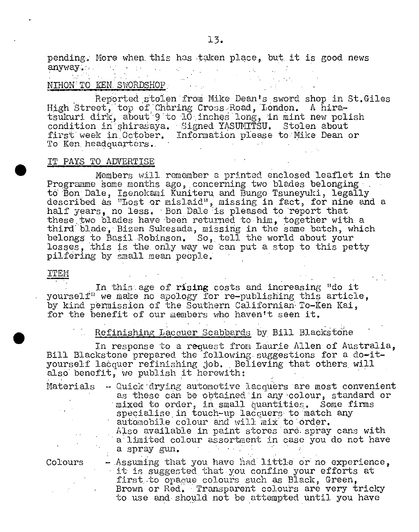pending; More when, this has taken place, but, it is good news anyway $\ldots$  :

# <u>IHON TO KEN SWORDSHOP,</u>

Reported stolen from Mike Dean's sword shop in St.Giles High Street, top of Charing Cross Road, London. A hiratsukuri dirk, about 9 to 10 inches long, in mint new polish condition in shirasaya. Signed YASUMITSU. Stolen about first week in October. Information please to Mike Dean or To Ken, headquarters..

## IT PAYS TO ADVERTISE

Members will remember a printed enclosed leaflet in the Programme some months ago, concerning two blades belonging to Bon Dale, Isenokami Kuniteru and Bungo Tsuneyuki, legally described as "Lost or mislaid", missing in fact, for nine and a half ypars,' no less. 'Eon Dale is pleased to report that these two blades have been returned to him, together with a third' blade', Bizen Sukesada, missing in the same batch, which belongs to Basil Robinson. So, tell the world about your losses, this is the, only way we can put a stop to this petty pilfering by small mean people.'

## ITEM

In this age of rising costs and increasing "do it yourself" we make no apology for re-publishing this article, by kind permission of the Southern Californian- To-Ken Kai, for the benefit of our members who haven't seen it.

Refinishing Lacquer Scabbards by Bill Blackstone

In response to a request from Laurie Allen of Australia, Bill Blackstone prepared the following suggestions for a do-ityourself lacquer refinishing job. Believing that others will also benefit, we publish it herewith:

Materials -- Quick drying automotive lacquers are most convenient as these can be obtained in any colour, standard or mixed to order, in small quantities. Some firms specialise in touch-up lacquers to match any automobile colour and will mix to order. Also available in paint stores are spray cans with a limited colour assortment in case you do not have a spray gun. Colours - Assuming that you have had little or no experience, it is suggested that you confine your efforts at first to opaque colours such as Black, Green,

Brown or Red. Transparent colours are very tricky to use and should not be attempted until you have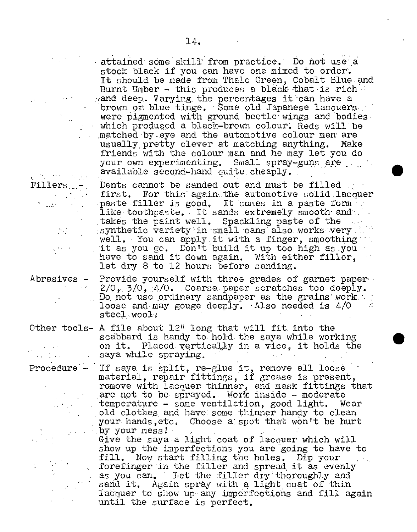| attained some skill from practice. Do not use a<br>stock black if you can have one mixed to order.   |
|------------------------------------------------------------------------------------------------------|
| It should be made from Thalo Green, Cobalt Blue and                                                  |
| Burnt Umber - this produces a black that is rich.<br>and deep. Varying the percentages it can have a |
| brown or blue tinge. Some old Japanese lacquers                                                      |
| were pigmented with ground beetle wings and bodies                                                   |
| which produced a black-brown colour. Reds will be                                                    |
| matched by eye and the automotive colour men are                                                     |
| usually pretty clever at matching anything. Make                                                     |
| friends with the colour man and he may let you do                                                    |
| your own experimenting. Small spray-guns are<br>available second-hand quite cheaply.                 |
|                                                                                                      |

 $\verb|Fillers, ...| =$  . Dents cannot be sanded out and must be filled and • **first.** For this again the automotive solid lacquer paste filler is good. It comes in a paste form  $\sim$ like toothpaste. It sands extremely smooth and takes the paint well. Spackling paste of the synthetic variety in small cans also works very. well. You can apply it with a finger, smoothing 'it as you go. Don't build it up too high asyou have to sand it down again. With either filler, let dry 8 to 12 hours before sanding.

Abrasives - Provide yourself with three grades of garnet paper- $2/0$ , 3/0, 4/0. Goarse paper scratches too deeply. Do not use ordinary sandpaper as the grains work. loose and may gouge deeply. Also needed is  $4/0$ stool, wool';

Other tools- A file about  $12^n$  long that will fit into the scabbard is handy to hold the saya while working on it. Placed vertically in a vice, it holds the saya while spraying,  $\mathcal{L}^{\mathcal{L}}(\mathcal{L}^{\mathcal{L}}(\mathcal{L}^{\mathcal{L}}(\mathcal{L}^{\mathcal{L}}(\mathcal{L}^{\mathcal{L}}(\mathcal{L}^{\mathcal{L}}(\mathcal{L}^{\mathcal{L}}(\mathcal{L}^{\mathcal{L}}(\mathcal{L}^{\mathcal{L}}(\mathcal{L}^{\mathcal{L}}(\mathcal{L}^{\mathcal{L}}(\mathcal{L}^{\mathcal{L}}(\mathcal{L}^{\mathcal{L}}(\mathcal{L}^{\mathcal{L}}(\mathcal{L}^{\mathcal{L}}(\mathcal{L}^{\mathcal{L}}(\mathcal{L}^{\mathcal{L$ 

Procedure'- If saya is split, re-glue it, remove all loose material, repair fittings, if grease is present, remove with lacquer thinner, and mask fittings that are not to be sprayed.. Work inside - moderate temperature - some ventilation, good light. Wear old clothes and have some thinner handy to clean - your.hands,etc, Choose a: spot that won't be hurt by your mess I Give the saya.a light coat of lacquer which will show up the imperfections you are going to have to fill. Now start filling the holes. Dip your forefinger in the filler and spread. it. as evenly as you can. Let the filler dry thoroughly and sand it. Again spray with a light coat of thin increase it as in the same important as lacquer to show up any imperfections and fill again until the surface is perfect.

 $\mathcal{P} = \bigcup_{i=1}^n \mathcal{P}_i$  ,  $\mathcal{P}_i = \{1,2,3,5\}$ 

- 
-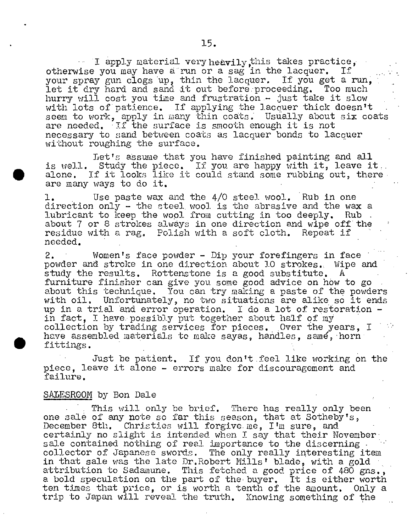$\blacksquare$  I apply material very heavily, this takes practice, otherwise you may have a run or a sag in the lacquer. If your spray gun clogs up, thin the lacquer. If you get a run let it dry hard and sand it out hefore:proceeding. Too much hurry will cost you time and frustration  $-$  just take it slow with lots of patience. If applying the lacquer thick doesn't seem to work, apply in many thin coats. Usually about six coats are needed. If the surface is smooth enough it is not necessary to sand between coats as lacquer bonds to lacquer without roughing the surface.

Let's aâsume that you have finished painting and all is well. Study the piece. If you are happy with it, leave it,<br>alone. If it looks like it could stand some rubbing out, there<br>are many ways to do it are many ways to do it.

1. Use paste wax and the 4/0 steel wool. Rub in one direction only  $-$  the steel wool is the abrasive and the wax a lubricant to keep the wool from cutting in too deeply. Rub. about 7 or 8 strokes always in one direction and wipe off the residue with a rag. Polish with a soft cloth. Repeat if needed.

2. ' Women's face powder - Dip your forefingers in face powder and stroke in one direction about 10 strokes., Wipe and study the results. Rottenstone is a good substitute. A furniture finisher can give you some good advice on how to go about this technique. You can try making a paste of the powders with oil. Unfortunately, no two situations are alike so it ends up in a trial and error operation. I do a lot of restoration in fact, I have possibly put together about half of my collection by trading services for pieces. Over the years, I have assembled materials to make sayas, handles, samó, horn' • fittings.

Just be patient. If you don't.feel like working on the piece, leave it alone - errors make for discouragement and failure.

#### SALESROOM by Bon Dale

This will only be brief. There has really only been one sale of any note so far this season, that at Sotheby's, December 8th. Christies will forgive me, I'm sure, and certainly no slight is intended when I say that their November sale contained nothing of real importance to the discerning collector of Japanese swords. The only really interesting item in that sale was the late Dr.Robert Mills' blade, with a gold attribution to Sadamune. This fetched a good price of 480 gns., a bold speculation on the part of the buyer. It is either worth ten times that price, or is worth a tenth of the amount. Only a trip to Japan will reveal the truth. Knowing something of the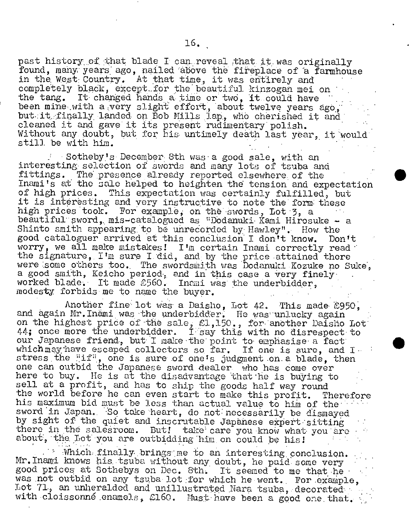past history of that blade I can reveal that it was originally found, many years ago, nailed above the fireplace of a farmhouse in the West Country. At that time, it was entirely and completely black, except for the beautiful kinzogan mei on the tang. It changed hands a time or two, it could have been mine with a very slight effort, about twelve years ago, but it finally landed on Bob Mills lap, who cherished it and cleaned it and gave it its present rudimentary polish. Without any doubt, but for his untimely death last year, it would still be with him.

. Sotheby's December Sth was a good sale, with an interesting: selection of swords and many lots of tsuba and fittings. The presence already reported elsewhere, of the Inami's at the salo helped to heighten the tension and expectation of high prices. This expectation was certainly fulfilled, but it is interesting and very instructive to note the form these high prices took. For example, on the swords, Lot 3, a beautiful sword, mis-catalogued as "Dodanuki Kami Hirosuke - a Shinto smith appearing. to be unrecorded by Hawley". How the good cataloguer arrived at this conclusion I don't know. Don't worry, we all make mistakes! I'm certain Inami correctly read the signature,  $I^r$ m sure I did, and by the price attained there were some others too. The swordsmith was Dodanuki Kozuke no Suke, a good smi±h, Keicho period, and in this case a very finely worked blade. It made &560. mcmi was the underbidder, modesty forbids me to name the buyer.

Another fine lot was a Daisho, Lot 42. This made 8950, and again Mr.Inami was the underbidder. He was unlucky again on the highest price of the sale,  $\pounds1,150$ ., for another Daisho Lot 44; once more the underbidder. I'ay this with no disrespect to our Japanese friend, but I make the point to emphacise a fact which may have escaped collectors so far. If one is sure, and  $I = I$ stress the  $\mathbb{R} \mathbf{i} \mathbf{f}^n$ , one is sure of one's judgment on a blade, then one can outbid the Japanese sword dealer. who has come over here to buy. He is at the disadvantage that he is buying to sell at a profit, and has to ship the goods half way round the world before he can even start to make this profit. Therefore his maximum bid must be less than actual value to him of the sword in Japan. So take heart, do not necessarily be dismayed by sight of the quiet and inscrutable Japanese expert sitting there in the salesroom. But! take care you know what you are about, the Lot you are outbidding him on could be his!

to an interesting conclusion. Mr. Inami knows his tsuba without any doubt, he paid some very good prices at Sothebys on Dec. 8th. It seemed to me that he was not outbid on any tsuba lot for which he went. For example, Lot 71, an unheralded and unillustrated Nara tsuba, decorated with cloissonné enamels,  $$160.$  Must have been a good one that.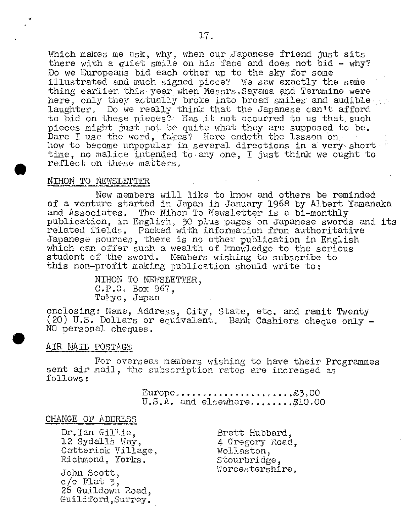Which makes me ask, why, when our Japanese friend just sits there with a quiet smile on his face and does not bid - why? Do we Europeans bid each other up to the sky for some illustrated and much signed piece? We saw exactly the same thing earlier this year when Messrs. Sayama and Terumine were here, only they actually broke into broad smiles and audible laughter. Do we really think that the Japanese can't afford to bid on these pieces? Has it not occurred to us that such pieces might just not be quite what they are supposed to be. Dare I use the word, fakes? Here endeth the lesson on • how to become unpopular in several directions in a very short time, no malice intended to any one, I just think we ought to . reflect on these matters,.

#### NIHON TO NEWSlETTER

New members will like to know and others be reminded of a venture started in Japan in January 1968 by Albert Yamanaka and Associates. The Nihon To Newsletter is a bi-monthly publication, in English, 30 plus pages on Japanese swords and its related fields. Packed with information from authoritative Japanese sources, there is no other publication in English which can offer such a wealth of knowledge to the serious student of the sword. Members wishing to subscribe to this non-profit making publication should write to:

> NIHON TO NEWSLETTER, C.P.Ot Box 967, Tokyo, Japan

enclosing: Name, Address, City, State, etc. and remit Twenty (20) U.S. Dollars or equivalent, Bank Cashiers cheque only - NO personal cheques,

## AIR MAIL POSTAGE

For overseas members wishing to have their Programmes sent air mail, the subscription rates are increased as follows:

> Europe...... .................. .3,00 U.S.A. and elsewhere.......... \$10.00

#### CHANGE 01? ADDRESS

c/o  $Flat_5$ ,

Dr,Ian Gillie, 12 Sydalls Way, Catterick Village, Richmond, Yorks. John Scott,

26 Guildown Road, Guildford,Surrey.

Brett Hubbard, 4 Gregory Road, Wollaston, Stourbridge, Worcestershire.